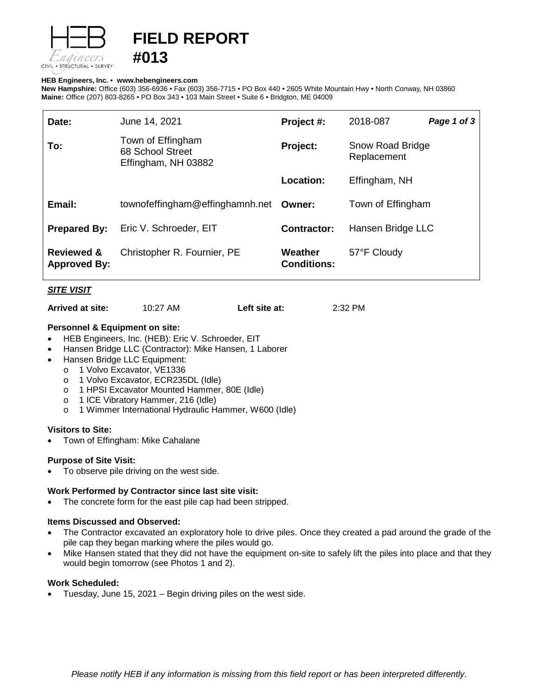

# **FIELD REPORT #013**

#### **HEB Engineers, Inc.** • **[www.hebengineer](http://www.hebengineers.com/)s.com**

**New Hampshire:** Office (603) 356-6936 • Fax (603) 356-7715 • PO Box 440 • 2605 White Mountain Hwy • North Conway, NH 03860 **Maine:** Office (207) 803-8265 • PO Box 343 • 103 Main Street • Suite 6 • Bridgton, ME 04009

| Date:                                        | June 14, 2021                                                | Project #:                    | 2018-087                        | Page 1 of 3 |
|----------------------------------------------|--------------------------------------------------------------|-------------------------------|---------------------------------|-------------|
| To:                                          | Town of Effingham<br>68 School Street<br>Effingham, NH 03882 | Project:                      | Snow Road Bridge<br>Replacement |             |
|                                              |                                                              | Location:                     | Effingham, NH                   |             |
| Email:                                       | townofeffingham@effinghamnh.net                              | Owner:                        | Town of Effingham               |             |
| <b>Prepared By:</b>                          | Eric V. Schroeder, EIT                                       | <b>Contractor:</b>            | Hansen Bridge LLC               |             |
| <b>Reviewed &amp;</b><br><b>Approved By:</b> | Christopher R. Fournier, PE                                  | Weather<br><b>Conditions:</b> | 57°F Cloudy                     |             |

## *SITE VISIT*

**Arrived at site:** 10:27 AM **Left site at:** 2:32 PM

## **Personnel & Equipment on site:**

- HEB Engineers, Inc. (HEB): Eric V. Schroeder, EIT
- Hansen Bridge LLC (Contractor): Mike Hansen, 1 Laborer
- Hansen Bridge LLC Equipment:
	- o 1 Volvo Excavator, VE1336
	- o 1 Volvo Excavator, ECR235DL (Idle)
	- o 1 HPSI Excavator Mounted Hammer, 80E (Idle)
	- o 1 ICE Vibratory Hammer, 216 (Idle)
	- o 1 Wimmer International Hydraulic Hammer, W600 (Idle)

#### **Visitors to Site:**

• Town of Effingham: Mike Cahalane

# **Purpose of Site Visit:**

To observe pile driving on the west side.

#### **Work Performed by Contractor since last site visit:**

The concrete form for the east pile cap had been stripped.

# **Items Discussed and Observed:**

- The Contractor excavated an exploratory hole to drive piles. Once they created a pad around the grade of the pile cap they began marking where the piles would go.
- Mike Hansen stated that they did not have the equipment on-site to safely lift the piles into place and that they would begin tomorrow (see Photos 1 and 2).

#### **Work Scheduled:**

• Tuesday, June 15, 2021 – Begin driving piles on the west side.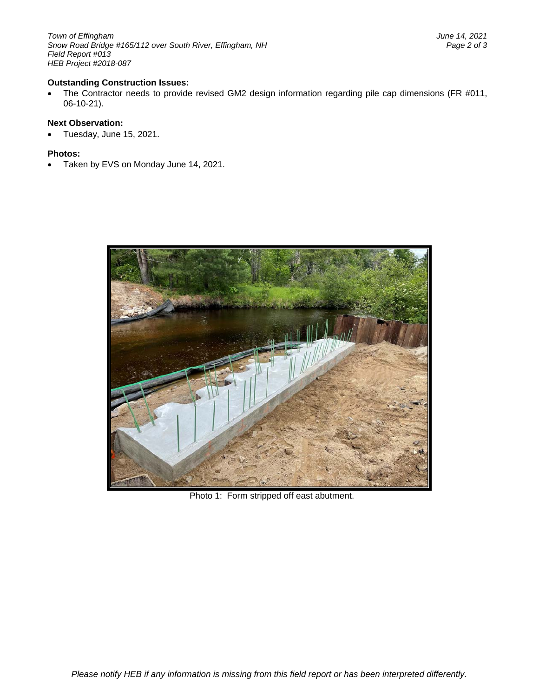*Town of Effingham June 14, 2021* Snow Road Bridge #165/112 over South River, Effingham, NH *Field Report #013 HEB Project #2018-087*

## **Outstanding Construction Issues:**

• The Contractor needs to provide revised GM2 design information regarding pile cap dimensions (FR #011, 06-10-21).

#### **Next Observation:**

• Tuesday, June 15, 2021.

#### **Photos:**

• Taken by EVS on Monday June 14, 2021.



Photo 1: Form stripped off east abutment.